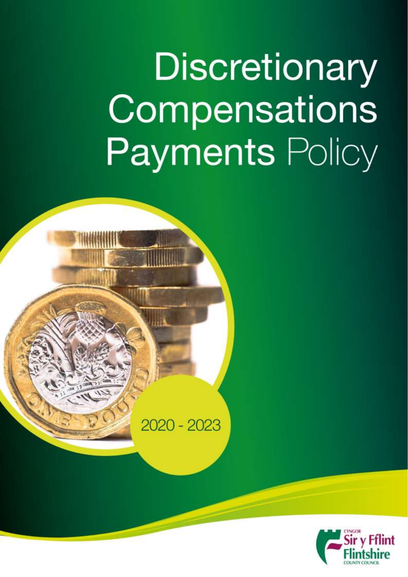# Discretionary Compensations **Payments Policy**



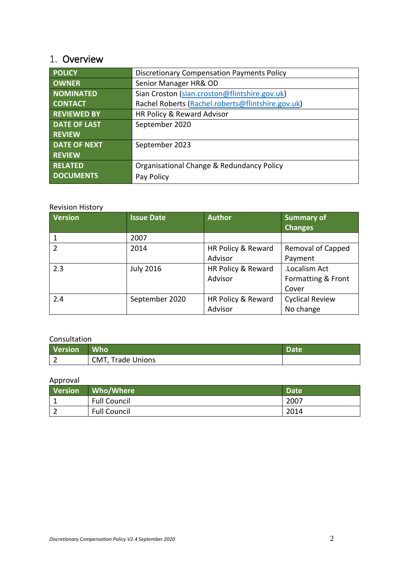## <span id="page-1-0"></span>1. Overview

| <b>POLICY</b>       | <b>Discretionary Compensation Payments Policy</b> |  |  |  |  |  |  |
|---------------------|---------------------------------------------------|--|--|--|--|--|--|
| <b>OWNER</b>        | Senior Manager HR& OD                             |  |  |  |  |  |  |
| <b>NOMINATED</b>    | Sian Croston (sian.croston@flintshire.gov.uk)     |  |  |  |  |  |  |
| <b>CONTACT</b>      | Rachel Roberts (Rachel.roberts@flintshire.gov.uk) |  |  |  |  |  |  |
| <b>REVIEWED BY</b>  | HR Policy & Reward Advisor                        |  |  |  |  |  |  |
| <b>DATE OF LAST</b> | September 2020                                    |  |  |  |  |  |  |
| <b>REVIEW</b>       |                                                   |  |  |  |  |  |  |
| <b>DATE OF NEXT</b> | September 2023                                    |  |  |  |  |  |  |
| <b>REVIEW</b>       |                                                   |  |  |  |  |  |  |
| <b>RELATED</b>      | Organisational Change & Redundancy Policy         |  |  |  |  |  |  |
| <b>DOCUMENTS</b>    | Pay Policy                                        |  |  |  |  |  |  |

#### Revision History

| Version        | <b>Issue Date</b> | <b>Author</b>      | <b>Summary of</b><br><b>Changes</b> |
|----------------|-------------------|--------------------|-------------------------------------|
|                | 2007              |                    |                                     |
| $\mathfrak{p}$ | 2014              | HR Policy & Reward | Removal of Capped                   |
|                |                   | Advisor            | Payment                             |
| 2.3            | <b>July 2016</b>  | HR Policy & Reward | .Localism Act                       |
|                |                   | Advisor            | Formatting & Front                  |
|                |                   |                    | Cover                               |
| 2.4            | September 2020    | HR Policy & Reward | <b>Cyclical Review</b>              |
|                |                   | Advisor            | No change                           |

### Consultation

| <b>Version</b> | <b>Who</b>        | Date |
|----------------|-------------------|------|
|                | CMT, Trade Unions |      |

## Approval

| Version | Who/Where           | Date |
|---------|---------------------|------|
|         | <b>Full Council</b> | 2007 |
|         | <b>Full Council</b> | 2014 |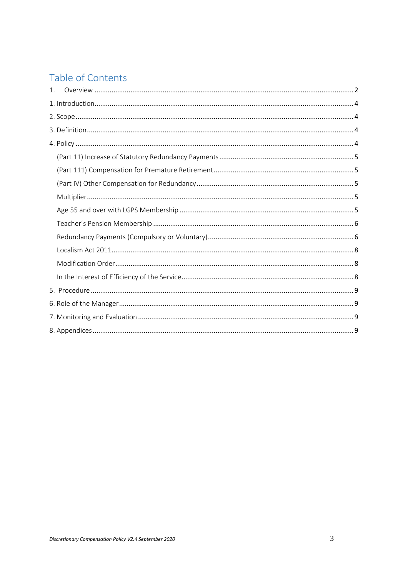## Table of Contents

| $\mathbf{1}$ . |  |
|----------------|--|
|                |  |
|                |  |
|                |  |
|                |  |
|                |  |
|                |  |
|                |  |
|                |  |
|                |  |
|                |  |
|                |  |
|                |  |
|                |  |
|                |  |
|                |  |
|                |  |
|                |  |
|                |  |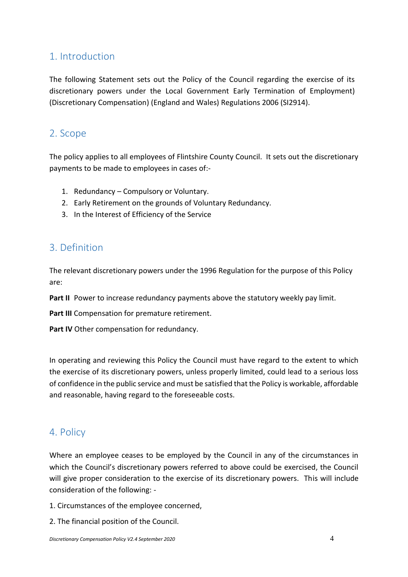## <span id="page-3-0"></span>1. Introduction

The following Statement sets out the Policy of the Council regarding the exercise of its discretionary powers under the Local Government Early Termination of Employment) (Discretionary Compensation) (England and Wales) Regulations 2006 (SI2914).

## <span id="page-3-1"></span>2. Scope

The policy applies to all employees of Flintshire County Council. It sets out the discretionary payments to be made to employees in cases of:-

- 1. Redundancy Compulsory or Voluntary.
- 2. Early Retirement on the grounds of Voluntary Redundancy.
- 3. In the Interest of Efficiency of the Service

## <span id="page-3-2"></span>3. Definition

The relevant discretionary powers under the 1996 Regulation for the purpose of this Policy are:

**Part II** Power to increase redundancy payments above the statutory weekly pay limit.

**Part III** Compensation for premature retirement.

Part IV Other compensation for redundancy.

In operating and reviewing this Policy the Council must have regard to the extent to which the exercise of its discretionary powers, unless properly limited, could lead to a serious loss of confidence in the public service and must be satisfied that the Policy is workable, affordable and reasonable, having regard to the foreseeable costs.

## <span id="page-3-3"></span>4. Policy

Where an employee ceases to be employed by the Council in any of the circumstances in which the Council's discretionary powers referred to above could be exercised, the Council will give proper consideration to the exercise of its discretionary powers. This will include consideration of the following: -

- 1. Circumstances of the employee concerned,
- 2. The financial position of the Council.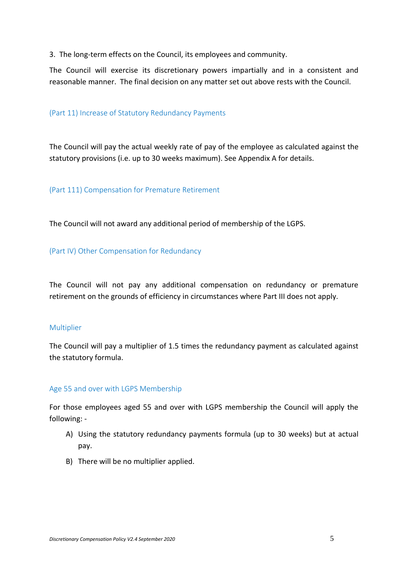3. The long-term effects on the Council, its employees and community.

The Council will exercise its discretionary powers impartially and in a consistent and reasonable manner. The final decision on any matter set out above rests with the Council.

#### <span id="page-4-0"></span>(Part 11) Increase of Statutory Redundancy Payments

The Council will pay the actual weekly rate of pay of the employee as calculated against the statutory provisions (i.e. up to 30 weeks maximum). See Appendix A for details.

#### <span id="page-4-1"></span>(Part 111) Compensation for Premature Retirement

The Council will not award any additional period of membership of the LGPS.

#### <span id="page-4-2"></span>(Part IV) Other Compensation for Redundancy

The Council will not pay any additional compensation on redundancy or premature retirement on the grounds of efficiency in circumstances where Part III does not apply.

#### <span id="page-4-3"></span>Multiplier

The Council will pay a multiplier of 1.5 times the redundancy payment as calculated against the statutory formula.

#### <span id="page-4-4"></span>Age 55 and over with LGPS Membership

For those employees aged 55 and over with LGPS membership the Council will apply the following: -

- A) Using the statutory redundancy payments formula (up to 30 weeks) but at actual pay.
- B) There will be no multiplier applied.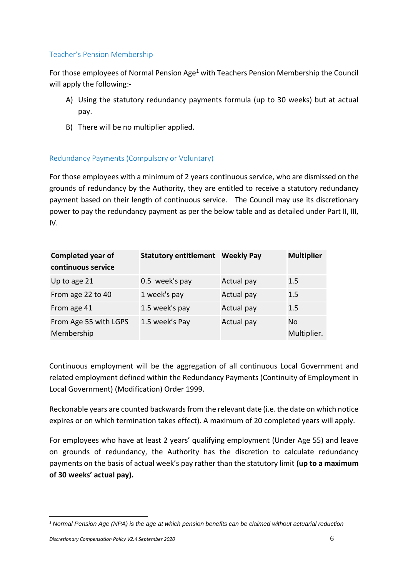#### <span id="page-5-0"></span>Teacher's Pension Membership

For those employees of Normal Pension Age<sup>1</sup> with Teachers Pension Membership the Council will apply the following:-

- A) Using the statutory redundancy payments formula (up to 30 weeks) but at actual pay.
- B) There will be no multiplier applied.

#### <span id="page-5-1"></span>Redundancy Payments (Compulsory or Voluntary)

For those employees with a minimum of 2 years continuous service, who are dismissed on the grounds of redundancy by the Authority, they are entitled to receive a statutory redundancy payment based on their length of continuous service. The Council may use its discretionary power to pay the redundancy payment as per the below table and as detailed under Part II, III, IV.

| <b>Completed year of</b><br>continuous service | <b>Statutory entitlement Weekly Pay</b> |            | <b>Multiplier</b> |
|------------------------------------------------|-----------------------------------------|------------|-------------------|
| Up to age 21                                   | 0.5 week's pay                          | Actual pay | $1.5\,$           |
| From age 22 to 40                              | 1 week's pay                            | Actual pay | 1.5               |
| From age 41                                    | 1.5 week's pay                          | Actual pay | 1.5               |
| From Age 55 with LGPS<br>Membership            | 1.5 week's Pay                          | Actual pay | No<br>Multiplier. |

Continuous employment will be the aggregation of all continuous Local Government and related employment defined within the Redundancy Payments (Continuity of Employment in Local Government) (Modification) Order 1999.

Reckonable years are counted backwards from the relevant date (i.e. the date on which notice expires or on which termination takes effect). A maximum of 20 completed years will apply.

For employees who have at least 2 years' qualifying employment (Under Age 55) and leave on grounds of redundancy, the Authority has the discretion to calculate redundancy payments on the basis of actual week's pay rather than the statutory limit **(up to a maximum of 30 weeks' actual pay).**

<sup>1</sup> *<sup>1</sup> Normal Pension Age (NPA) is the age at which pension benefits can be claimed without actuarial reduction*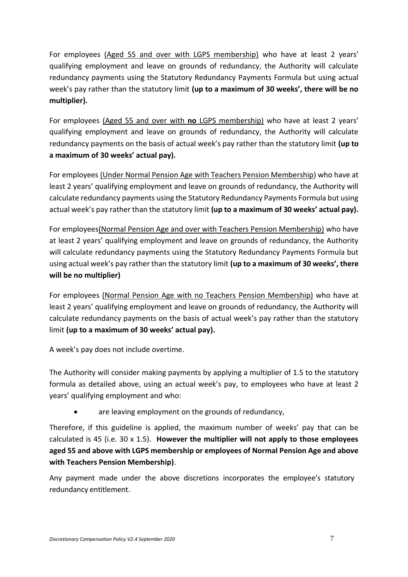For employees (Aged 55 and over with LGPS membership) who have at least 2 years' qualifying employment and leave on grounds of redundancy, the Authority will calculate redundancy payments using the Statutory Redundancy Payments Formula but using actual week's pay rather than the statutory limit **(up to a maximum of 30 weeks', there will be no multiplier).**

For employees (Aged 55 and over with **no** LGPS membership) who have at least 2 years' qualifying employment and leave on grounds of redundancy, the Authority will calculate redundancy payments on the basis of actual week's pay rather than the statutory limit **(up to a maximum of 30 weeks' actual pay).**

For employees (Under Normal Pension Age with Teachers Pension Membership) who have at least 2 years' qualifying employment and leave on grounds of redundancy, the Authority will calculate redundancy payments using the Statutory Redundancy Payments Formula but using actual week's pay rather than the statutory limit **(up to a maximum of 30 weeks' actual pay).**

For employees(Normal Pension Age and over with Teachers Pension Membership) who have at least 2 years' qualifying employment and leave on grounds of redundancy, the Authority will calculate redundancy payments using the Statutory Redundancy Payments Formula but using actual week's pay rather than the statutory limit **(up to a maximum of 30 weeks', there will be no multiplier)**

For employees (Normal Pension Age with no Teachers Pension Membership) who have at least 2 years' qualifying employment and leave on grounds of redundancy, the Authority will calculate redundancy payments on the basis of actual week's pay rather than the statutory limit **(up to a maximum of 30 weeks' actual pay).**

A week's pay does not include overtime.

The Authority will consider making payments by applying a multiplier of 1.5 to the statutory formula as detailed above, using an actual week's pay, to employees who have at least 2 years' qualifying employment and who:

are leaving employment on the grounds of redundancy,

Therefore, if this guideline is applied, the maximum number of weeks' pay that can be calculated is 45 (i.e. 30 x 1.5). **However the multiplier will not apply to those employees aged 55 and above with LGPS membership or employees of Normal Pension Age and above with Teachers Pension Membership)**.

Any payment made under the above discretions incorporates the employee's statutory redundancy entitlement.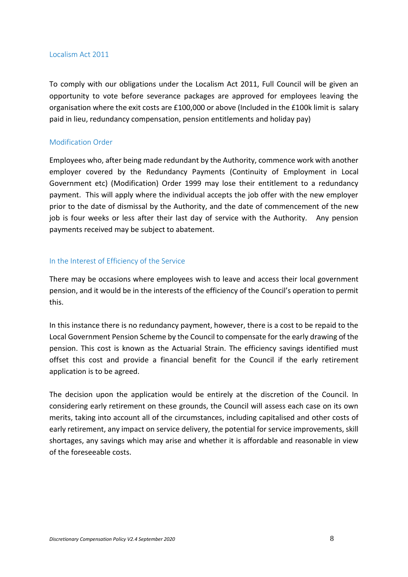#### <span id="page-7-0"></span>Localism Act 2011

To comply with our obligations under the Localism Act 2011, Full Council will be given an opportunity to vote before severance packages are approved for employees leaving the organisation where the exit costs are £100,000 or above (Included in the £100k limit is salary paid in lieu, redundancy compensation, pension entitlements and holiday pay)

#### <span id="page-7-1"></span>Modification Order

Employees who, after being made redundant by the Authority, commence work with another employer covered by the Redundancy Payments (Continuity of Employment in Local Government etc) (Modification) Order 1999 may lose their entitlement to a redundancy payment. This will apply where the individual accepts the job offer with the new employer prior to the date of dismissal by the Authority, and the date of commencement of the new job is four weeks or less after their last day of service with the Authority. Any pension payments received may be subject to abatement.

#### <span id="page-7-2"></span>In the Interest of Efficiency of the Service

There may be occasions where employees wish to leave and access their local government pension, and it would be in the interests of the efficiency of the Council's operation to permit this.

In this instance there is no redundancy payment, however, there is a cost to be repaid to the Local Government Pension Scheme by the Council to compensate for the early drawing of the pension. This cost is known as the Actuarial Strain. The efficiency savings identified must offset this cost and provide a financial benefit for the Council if the early retirement application is to be agreed.

The decision upon the application would be entirely at the discretion of the Council. In considering early retirement on these grounds, the Council will assess each case on its own merits, taking into account all of the circumstances, including capitalised and other costs of early retirement, any impact on service delivery, the potential for service improvements, skill shortages, any savings which may arise and whether it is affordable and reasonable in view of the foreseeable costs.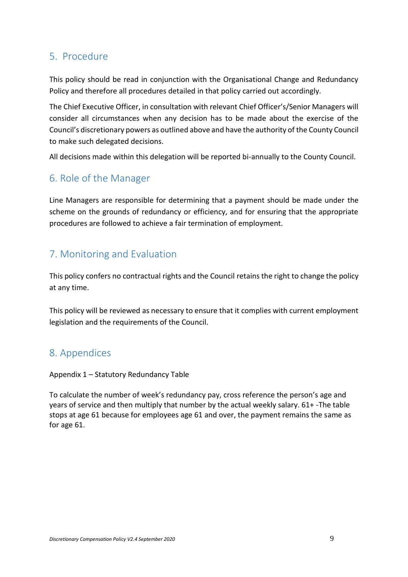## <span id="page-8-0"></span>5. Procedure

This policy should be read in conjunction with the Organisational Change and Redundancy Policy and therefore all procedures detailed in that policy carried out accordingly.

The Chief Executive Officer, in consultation with relevant Chief Officer's/Senior Managers will consider all circumstances when any decision has to be made about the exercise of the Council's discretionary powers as outlined above and have the authority of the County Council to make such delegated decisions.

All decisions made within this delegation will be reported bi-annually to the County Council.

## <span id="page-8-1"></span>6. Role of the Manager

Line Managers are responsible for determining that a payment should be made under the scheme on the grounds of redundancy or efficiency, and for ensuring that the appropriate procedures are followed to achieve a fair termination of employment.

## <span id="page-8-2"></span>7. Monitoring and Evaluation

This policy confers no contractual rights and the Council retains the right to change the policy at any time.

This policy will be reviewed as necessary to ensure that it complies with current employment legislation and the requirements of the Council.

## <span id="page-8-3"></span>8. Appendices

Appendix 1 – Statutory Redundancy Table

To calculate the number of week's redundancy pay, cross reference the person's age and years of service and then multiply that number by the actual weekly salary. 61+ -The table stops at age 61 because for employees age 61 and over, the payment remains the same as for age 61.